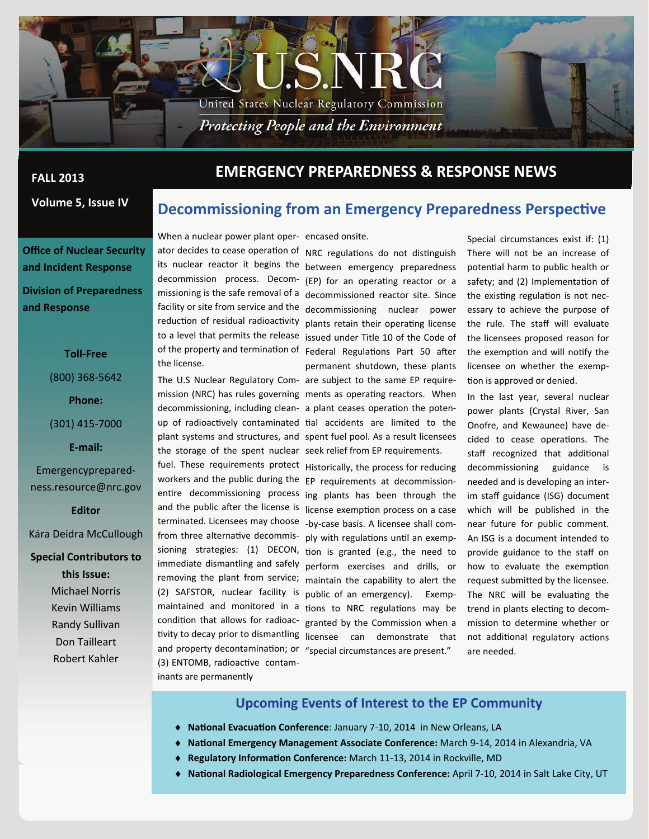

**Volume 5, Issue IV**

# **EMERGENCY PREPAREDNESS & RESPONSE NEWS FALL <sup>2013</sup>**

## **Decommissioning from an Emergency Preparedness Perspective**

**Office of Nuclear Security and Incident Response Division of Preparedness and Response**

#### **Toll‐Free**

(800) 368‐5642

**Phone:**

(301) 415‐7000

**E‐mail:**

Emergencyprepared‐ ness.resource@nrc.gov

#### **Editor**

Kára Deidra McCullough

**Special Contributors to this Issue:** Michael Norris Kevin Williams Randy Sullivan Don Tailleart Robert Kahler

When a nuclear power plant oper- encased onsite. decommission process. Decom‐ facility or site from service and the the license.

the storage of the spent nuclear seek relief from EP requirements. fuel. These requirements protect Historically, the process for reducing (3) ENTOMB, radioactive contaminants are permanently

ator decides to cease operation of NRC regulations do not distinguish its nuclear reactor it begins the between emergency preparedness missioning is the safe removal of a decommissioned reactor site. Since reduction of residual radioactivity plants retain their operating license to a level that permits the release issued under Title 10 of the Code of of the property and termination of Federal Regulations Part 50 after The U.S Nuclear Regulatory Com‐ are subject to the same EP require‐ mission (NRC) has rules governing ments as operating reactors. When decommissioning, including clean- a plant ceases operation the potenup of radioactively contaminated tial accidents are limited to the plant systems and structures, and spent fuel pool. As a result licensees (EP) for an operating reactor or a decommissioning nuclear power permanent shutdown, these plants

workers and the public during the EP requirements at decommission‐ entire decommissioning process ing plants has been through the and the public after the license is license exemption process on a case terminated. Licensees may choose ‐by‐case basis. A licensee shall com‐ from three alternative decommis- ply with regulations until an exempsioning strategies: (1) DECON, tion is granted (e.g., the need to immediate dismantling and safely perform exercises and drills, or removing the plant from service; maintain the capability to alert the (2) SAFSTOR, nuclear facility is public of an emergency). Exempmaintained and monitored in a tions to NRC regulations may be condition that allows for radioac- granted by the Commission when a tivity to decay prior to dismantling licensee can demonstrate that and property decontamination; or "special circumstances are present."

Special circumstances exist if: (1) There will not be an increase of potential harm to public health or safety; and (2) Implementation of the existing regulation is not necessary to achieve the purpose of the rule. The staff will evaluate the licensees proposed reason for the exemption and will notify the licensee on whether the exemp‐ tion is approved or denied.

In the last year, several nuclear power plants (Crystal River, San Onofre, and Kewaunee) have de‐ cided to cease operations. The staff recognized that additional decommissioning guidance is needed and is developing an inter‐ im staff guidance (ISG) document which will be published in the near future for public comment. An ISG is a document intended to provide guidance to the staff on how to evaluate the exemption request submitted by the licensee. The NRC will be evaluating the trend in plants electing to decommission to determine whether or not additional regulatory actions are needed.

### **Upcoming Events of Interest to the EP Community**

- **NaƟonal EvacuaƟon Conference**: January 7‐10, 2014 in New Orleans, LA
- **NaƟonal Emergency Management Associate Conference:** March 9‐14, 2014 in Alexandria, VA
- ◆ Regulatory Information Conference: March 11-13, 2014 in Rockville, MD
- **NaƟonal Radiological Emergency Preparedness Conference:** April 7‐10, 2014 in Salt Lake City, UT